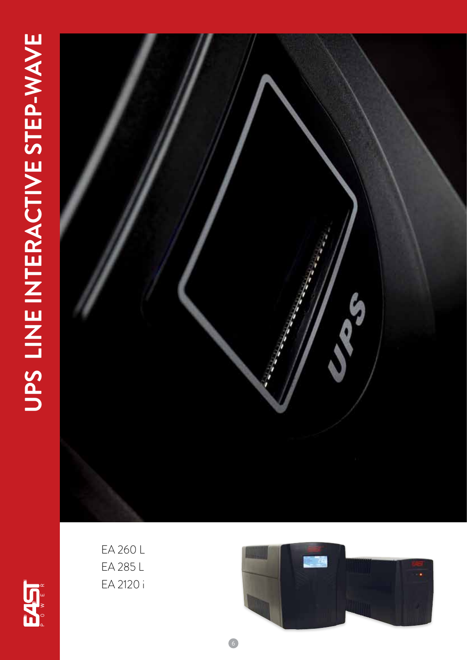# UPS LINE INTERACTIVE STEP-WAVE **UPS LINE INTERACTIVE STEP-WAVE**







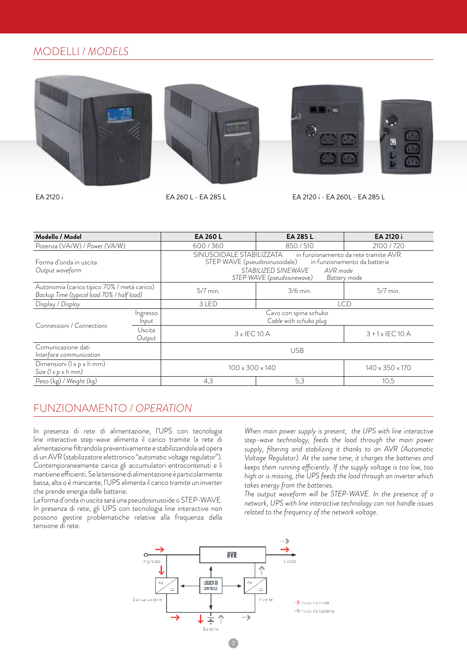# MODELLI / *MODELS*









EA 2120 i EA 260 L - EA 285 L EA 2120 i - EA 260L - EA 285 L

| Modello / Model                                                                           |                   | EA 260 L                                                                                                                                                                                                     | EA 285 L   | EA 2120 i               |
|-------------------------------------------------------------------------------------------|-------------------|--------------------------------------------------------------------------------------------------------------------------------------------------------------------------------------------------------------|------------|-------------------------|
| Potenza (VA/W) / Power (VA/W)                                                             |                   | 600/360                                                                                                                                                                                                      | 850 / 510  | 2100 / 720              |
| Forma d'onda in uscita<br>Output waveform                                                 |                   | SINUSOIDALE STABILIZZATA in funzionamento da rete tramite AVR<br>STEP WAVE (pseudosinusoidale) in funzionamento da batteria<br>STABILIZED SINEWAVE<br>AVR mode<br>STEP WAVE (pseudosinewave)<br>Battery mode |            |                         |
| Autonomia (carico tipico 70% / metà carico)<br>Backup Time (typical load 70% / half load) |                   | 5/7 min.                                                                                                                                                                                                     | 3/6 min.   | 5/7 min.                |
| Display / Display                                                                         |                   | 3 LED                                                                                                                                                                                                        | <b>LCD</b> |                         |
| Connessioni / Connections                                                                 | Ingresso<br>Input | Cavo con spina schuko<br>Cable with schuko plug                                                                                                                                                              |            |                         |
|                                                                                           | Uscita<br>Output  | $3 \times$ IEC 10 A                                                                                                                                                                                          |            | $3 + 1 \times$ IEC 10 A |
| Comunicazione dati<br>Interface communication                                             |                   | <b>USB</b>                                                                                                                                                                                                   |            |                         |
| Dimensioni (I x p x h mm)<br>Size $(l \times p \times h \text{ mm})$                      |                   | $100 \times 300 \times 140$                                                                                                                                                                                  |            | 140 x 350 x 170         |
| Peso (kg) / Weight (kg)                                                                   |                   | 4,3                                                                                                                                                                                                          | 5,3        | 10,5                    |

### FUNZIONAMENTO / *OPERATION*

In presenza di rete di alimentazione, l'UPS con tecnologia line interactive step-wave alimenta il carico tramite la rete di alimentazione filtrandola preventivamente e stabilizzandola ad opera di un AVR (stabilizzatore elettronico "automatic voltage regulator"). Contemporaneamente carica gli accumulatori entrocontenuti e li mantiene efficienti. Se la tensione di alimentazione è particolarmente bassa, alta o è mancante, l'UPS alimenta il carico tramite un inverter che prende energia dalle batterie.

La forma d'onda in uscita sarà una pseudosinusoide o STEP-WAVE. In presenza di rete, gli UPS con tecnologia line interactive non possono gestire problematiche relative alla frequenza della tensione di rete.

*When main power supply is present, the UPS with line interactive step-wave technology, feeds the load through the main power supply, filtering and stabilizing it thanks to an AVR (Automatic Voltage Regulator). At the same time, it charges the batteries and keeps them running efficiently. If the supply voltage is too low, too high or is missing, the UPS feeds the load through an inverter which takes energy from the batteries.*

*The output waveform will be STEP-WAVE. In the presence of a network, UPS with line interactive technology can not handle issues related to the frequency of the network voltage.*

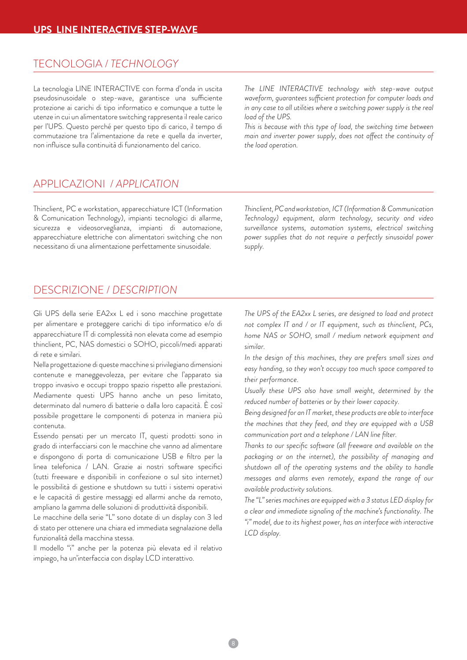### TECNOLOGIA / *TECHNOLOGY*

La tecnologia LINE INTERACTIVE con forma d'onda in uscita pseudosinusoidale o step-wave, garantisce una sufficiente protezione ai carichi di tipo informatico e comunque a tutte le utenze in cui un alimentatore switching rappresenta il reale carico per l'UPS. Questo perché per questo tipo di carico, il tempo di commutazione tra l'alimentazione da rete e quella da inverter, non influisce sulla continuità di funzionamento del carico.

*The LINE INTERACTIVE technology with step-wave output waveform, guarantees sufficient protection for computer loads and*  in any case to all utilities where a switching power supply is the real *load of the UPS.*

*This is because with this type of load, the switching time between main and inverter power supply, does not affect the continuity of the load operation.*

# APPLICAZIONI / *APPLICATION*

Thinclient, PC e workstation, apparecchiature ICT (Information & Comunication Technology), impianti tecnologici di allarme, sicurezza e videosorveglianza, impianti di automazione, apparecchiature elettriche con alimentatori switching che non necessitano di una alimentazione perfettamente sinusoidale.

*Thinclient, PC and workstation, ICT (Information & Communication Technology) equipment, alarm technology, security and video surveillance systems, automation systems, electrical switching power supplies that do not require a perfectly sinusoidal power supply.*

## DESCRIZIONE / *DESCRIPTION*

Gli UPS della serie EA2xx L ed i sono macchine progettate per alimentare e proteggere carichi di tipo informatico e/o di apparecchiature IT di complessità non elevata come ad esempio thinclient, PC, NAS domestici o SOHO, piccoli/medi apparati di rete e similari.

Nella progettazione di queste macchine si privilegiano dimensioni contenute e maneggevolezza, per evitare che l'apparato sia troppo invasivo e occupi troppo spazio rispetto alle prestazioni. Mediamente questi UPS hanno anche un peso limitato, determinato dal numero di batterie o dalla loro capacità. È così possibile progettare le componenti di potenza in maniera più contenuta.

Essendo pensati per un mercato IT, questi prodotti sono in grado di interfacciarsi con le macchine che vanno ad alimentare e dispongono di porta di comunicazione USB e filtro per la linea telefonica / LAN. Grazie ai nostri software specifici (tutti freeware e disponibili in confezione o sul sito internet) le possibilità di gestione e shutdown su tutti i sistemi operativi e le capacità di gestire messaggi ed allarmi anche da remoto, ampliano la gamma delle soluzioni di produttività disponibili.

Le macchine della serie "L" sono dotate di un display con 3 led di stato per ottenere una chiara ed immediata segnalazione della funzionalità della macchina stessa.

Il modello "i" anche per la potenza più elevata ed il relativo impiego, ha un'interfaccia con display LCD interattivo.

*The UPS of the EA2xx L series, are designed to load and protect not complex IT and / or IT equipment, such as thinclient, PCs, home NAS or SOHO, small / medium network equipment and similar.*

*In the design of this machines, they are prefers small sizes and easy handing, so they won't occupy too much space compared to their performance.*

*Usually these UPS also have small weight, determined by the reduced number of batteries or by their lower capacity.*

*Being designed for an IT market, these products are able to interface the machines that they feed, and they are equipped with a USB communication port and a telephone / LAN line filter.* 

*Thanks to our specific software (all freeware and available on the packaging or on the internet), the possibility of managing and shutdown all of the operating systems and the ability to handle messages and alarms even remotely, expand the range of our available productivity solutions.*

*The "L" series machines are equipped with a 3 status LED display for a clear and immediate signaling of the machine's functionality. The "i" model, due to its highest power, has an interface with interactive LCD display.*